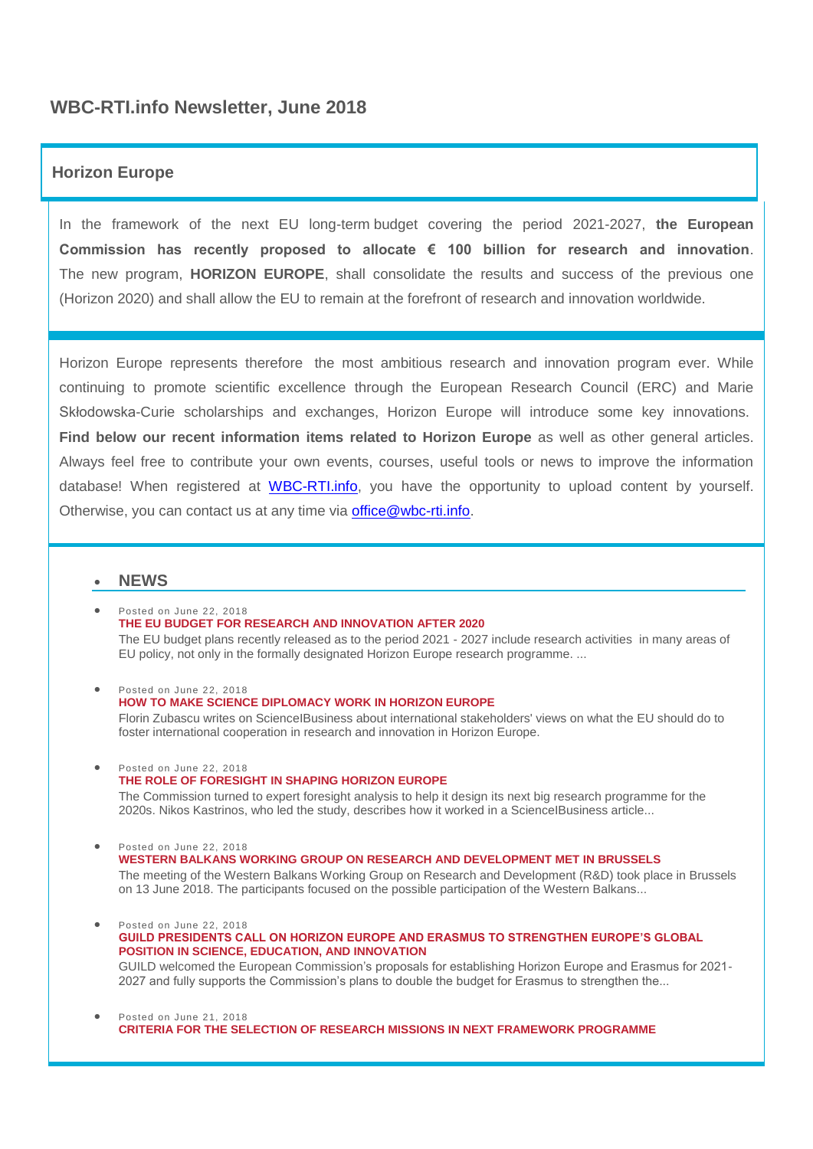# **WBC-RTI.info Newsletter, June 2018**

# **Horizon Europe**

In the framework of the next EU long-term budget covering the period 2021-2027, **the European Commission has recently proposed to allocate € 100 billion for research and innovation**. The new program, **HORIZON EUROPE**, shall consolidate the results and success of the previous one (Horizon 2020) and shall allow the EU to remain at the forefront of research and innovation worldwide.

Horizon Europe represents therefore the most ambitious research and innovation program ever. While continuing to promote scientific excellence through the European Research Council (ERC) and Marie Skłodowska-Curie scholarships and exchanges, Horizon Europe will introduce some key innovations. **Find below our recent information items related to Horizon Europe** as well as other general articles. Always feel free to contribute your own events, courses, useful tools or news to improve the information database! When registered at [WBC-RTI.info,](https://wbc-rti.info/) you have the opportunity to upload content by yourself. Otherwise, you can contact us at any time via **office@wbc-rti.info.** 

# **NEWS**

- Posted on June 22, 2018 **[THE EU BUDGET FOR RESEARCH AND INNOVATION AFTER 2020](https://wbc-rti.info/object/news/17279)** The EU budget plans recently released as to the period 2021 - 2027 include research activities in many areas of EU policy, not only in the formally designated Horizon Europe research programme. ...
- Posted on June 22, 2018 **[HOW TO MAKE SCIENCE DIPLOMACY WORK IN HORIZON EUROPE](https://wbc-rti.info/object/news/17277)** Florin Zubascu writes on ScienceIBusiness about international stakeholders' views on what the EU should do to foster international cooperation in research and innovation in Horizon Europe.
- Posted on June 22, 2018 **[THE ROLE OF FORESIGHT IN SHAPING HORIZON EUROPE](https://wbc-rti.info/object/news/17276)** The Commission turned to expert foresight analysis to help it design its next big research programme for the

2020s. Nikos Kastrinos, who led the study, describes how it worked in a ScienceIBusiness article...

 Posted on June 22, 2018 **[WESTERN BALKANS WORKING GROUP ON RESEARCH AND DEVELOPMENT MET IN BRUSSELS](https://wbc-rti.info/object/news/17274)**  The meeting of the Western Balkans Working Group on Research and Development (R&D) took place in Brussels on 13 June 2018. The participants focused on the possible participation of the Western Balkans...

- Posted on June 22, 2018 **[GUILD PRESIDENTS CALL ON HORIZON EUROPE AND ERASMUS TO STRENGTHEN EUROPE'S GLOBAL](https://wbc-rti.info/object/news/17271)  [POSITION IN SCIENCE, EDUCATION, AND INNOVATION](https://wbc-rti.info/object/news/17271)**  GUILD welcomed the European Commission's proposals for establishing Horizon Europe and Erasmus for 2021- 2027 and fully supports the Commission's plans to double the budget for Erasmus to strengthen the...
- Posted on June 21, 2018 **[CRITERIA FOR THE SELECTION OF RESEARCH MISSIONS IN NEXT FRAMEWORK PROGRAMME](https://wbc-rti.info/object/news/17263)**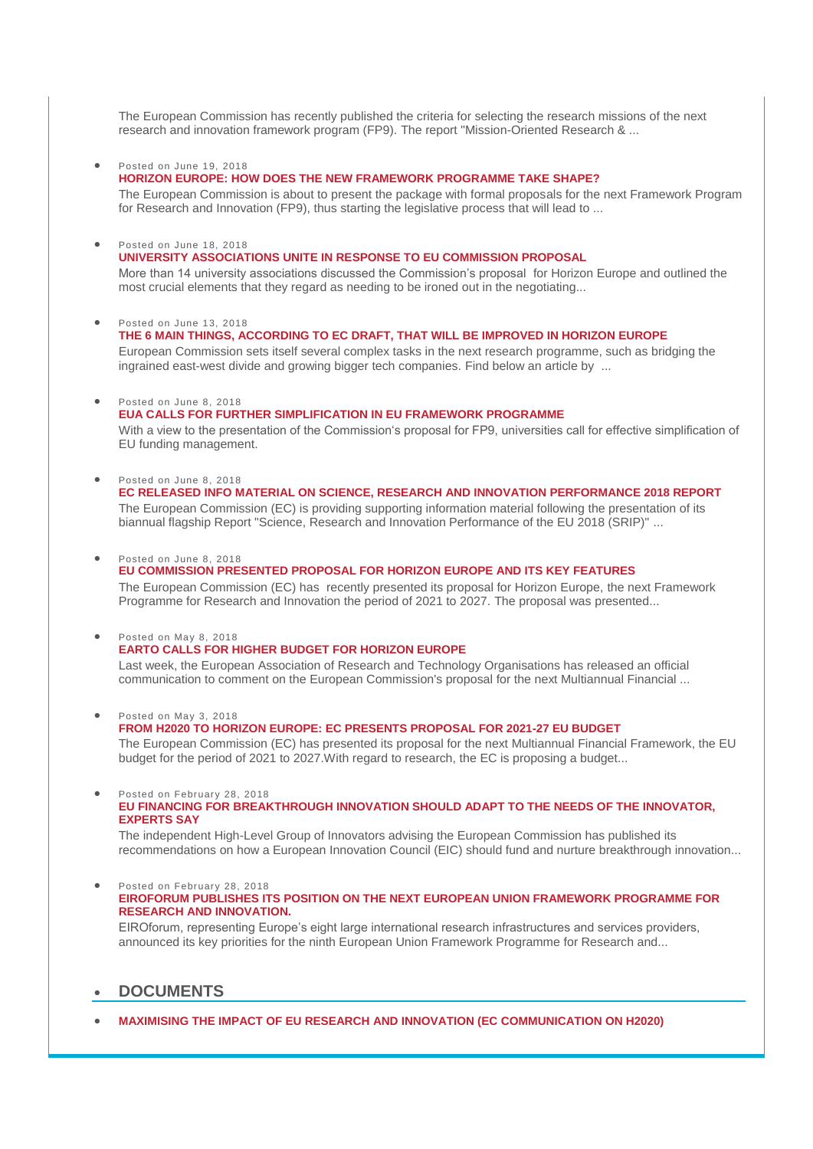The European Commission has recently published the criteria for selecting the research missions of the next research and innovation framework program (FP9). The report "Mission-Oriented Research & ...

#### Posted on June 19, 2018

#### **[HORIZON EUROPE: HOW DOES THE NEW FRAMEWORK PROGRAMME TAKE SHAPE?](https://wbc-rti.info/object/news/17257)**

The European Commission is about to present the package with formal proposals for the next Framework Program for Research and Innovation (FP9), thus starting the legislative process that will lead to ...

#### Posted on June 18, 2018

#### **[UNIVERSITY ASSOCIATIONS UNITE IN RESPONSE TO EU COMMISSION PROPOSAL](https://wbc-rti.info/object/news/17250)**

More than 14 university associations discussed the Commission's proposal for Horizon Europe and outlined the most crucial elements that they regard as needing to be ironed out in the negotiating...

#### Posted on June 13, 2018

- **[THE 6 MAIN THINGS, ACCORDING TO EC DRAFT, THAT WILL BE IMPROVED IN HORIZON EUROPE](https://wbc-rti.info/object/news/17239)** European Commission sets itself several complex tasks in the next research programme, such as bridging the ingrained east-west divide and growing bigger tech companies. Find below an article by ...
- Posted on June 8, 2018

## **[EUA CALLS FOR FURTHER SIMPLIFICATION IN EU FRAMEWORK PROGRAMME](https://wbc-rti.info/object/news/17219)**

With a view to the presentation of the Commission's proposal for FP9, universities call for effective simplification of EU funding management.

- Posted on June 8, 2018
	- **[EC RELEASED INFO MATERIAL ON SCIENCE, RESEARCH AND INNOVATION PERFORMANCE 2018 REPORT](https://wbc-rti.info/object/news/17215)** The European Commission (EC) is providing supporting information material following the presentation of its biannual flagship Report "Science, Research and Innovation Performance of the EU 2018 (SRIP)" ...

#### Posted on June 8, 2018

# **[EU COMMISSION PRESENTED PROPOSAL FOR HORIZON EUROPE AND ITS KEY FEATURES](https://wbc-rti.info/object/news/17214)**

The European Commission (EC) has recently presented its proposal for Horizon Europe, the next Framework Programme for Research and Innovation the period of 2021 to 2027. The proposal was presented...

#### Posted on May 8, 2018

## **[EARTO CALLS FOR HIGHER BUDGET FOR HORIZON EUROPE](https://wbc-rti.info/object/news/17107)**

Last week, the European Association of Research and Technology Organisations has released an official communication to comment on the European Commission's proposal for the next Multiannual Financial ...

Posted on May 3, 2018

#### **[FROM H2020 TO HORIZON EUROPE: EC PRESENTS PROPOSAL FOR 2021-27 EU BUDGET](https://wbc-rti.info/object/news/17100)**

The European Commission (EC) has presented its proposal for the next Multiannual Financial Framework, the EU budget for the period of 2021 to 2027.With regard to research, the EC is proposing a budget...

#### Posted on February 28, 2018

#### **[EU FINANCING FOR BREAKTHROUGH INNOVATION SHOULD ADAPT TO THE NEEDS OF THE INNOVATOR,](https://wbc-rti.info/object/news/16949)  [EXPERTS SAY](https://wbc-rti.info/object/news/16949)**

The independent High-Level Group of Innovators advising the European Commission has published its recommendations on how a European Innovation Council (EIC) should fund and nurture breakthrough innovation...

 Posted on February 28, 2018 **[EIROFORUM PUBLISHES ITS POSITION ON THE NEXT EUROPEAN UNION FRAMEWORK PROGRAMME FOR](https://wbc-rti.info/object/news/16939)  [RESEARCH AND INNOVATION.](https://wbc-rti.info/object/news/16939)**

EIROforum, representing Europe's eight large international research infrastructures and services providers, announced its key priorities for the ninth European Union Framework Programme for Research and...

# **DOCUMENTS**

**[MAXIMISING THE IMPACT OF EU RESEARCH AND INNOVATION \(EC COMMUNICATION ON H2020\)](https://wbc-rti.info/object/document/17280)**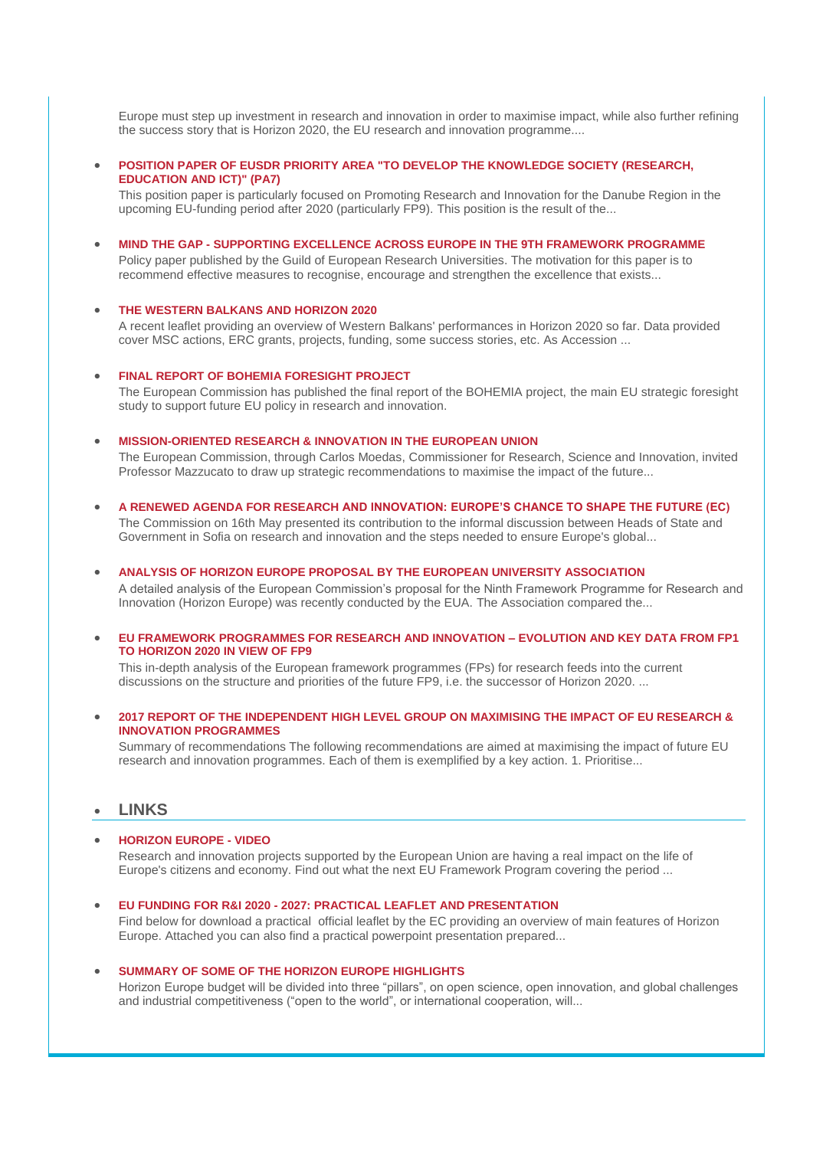Europe must step up investment in research and innovation in order to maximise impact, while also further refining the success story that is Horizon 2020, the EU research and innovation programme....

### **[POSITION PAPER OF EUSDR PRIORITY AREA "TO DEVELOP THE KNOWLEDGE SOCIETY \(RESEARCH,](https://wbc-rti.info/object/document/17272)  [EDUCATION AND ICT\)" \(PA7\)](https://wbc-rti.info/object/document/17272)**

This position paper is particularly focused on Promoting Research and Innovation for the Danube Region in the upcoming EU-funding period after 2020 (particularly FP9). This position is the result of the...

**MIND THE GAP - [SUPPORTING EXCELLENCE ACROSS EUROPE IN THE 9TH FRAMEWORK PROGRAMME](https://wbc-rti.info/object/document/17270)**

Policy paper published by the Guild of European Research Universities. The motivation for this paper is to recommend effective measures to recognise, encourage and strengthen the excellence that exists...

#### **[THE WESTERN BALKANS AND HORIZON 2020](https://wbc-rti.info/object/document/17269)**

A recent leaflet providing an overview of Western Balkans' performances in Horizon 2020 so far. Data provided cover MSC actions, ERC grants, projects, funding, some success stories, etc. As Accession ...

#### **[FINAL REPORT OF BOHEMIA FORESIGHT PROJECT](https://wbc-rti.info/object/document/17264)**

The European Commission has published the final report of the BOHEMIA project, the main EU strategic foresight study to support future EU policy in research and innovation.

### **[MISSION-ORIENTED RESEARCH & INNOVATION IN THE EUROPEAN UNION](https://wbc-rti.info/object/document/17262)**

The European Commission, through Carlos Moedas, Commissioner for Research, Science and Innovation, invited Professor Mazzucato to draw up strategic recommendations to maximise the impact of the future...

- **[A RENEWED AGENDA FOR RESEARCH AND INNOVATION: EUROPE'S CHANCE TO SHAPE THE FUTURE \(EC\)](https://wbc-rti.info/object/document/17256)** The Commission on 16th May presented its contribution to the informal discussion between Heads of State and Government in Sofia on research and innovation and the steps needed to ensure Europe's global...
- **[ANALYSIS OF HORIZON EUROPE PROPOSAL BY THE EUROPEAN UNIVERSITY ASSOCIATION](https://wbc-rti.info/object/document/17249)** A detailed analysis of the European Commission's proposal for the Ninth Framework Programme for Research and
- Innovation (Horizon Europe) was recently conducted by the EUA. The Association compared the...
- **[EU FRAMEWORK PROGRAMMES FOR RESEARCH AND INNOVATION –](https://wbc-rti.info/object/document/17014) EVOLUTION AND KEY DATA FROM FP1 [TO HORIZON 2020 IN VIEW OF FP9](https://wbc-rti.info/object/document/17014)**

This in-depth analysis of the European framework programmes (FPs) for research feeds into the current discussions on the structure and priorities of the future FP9, i.e. the successor of Horizon 2020. ...

### **[2017 REPORT OF THE INDEPENDENT HIGH LEVEL GROUP ON MAXIMISING THE IMPACT OF EU RESEARCH &](https://wbc-rti.info/object/document/16583)  [INNOVATION PROGRAMMES](https://wbc-rti.info/object/document/16583)**

Summary of recommendations The following recommendations are aimed at maximising the impact of future EU research and innovation programmes. Each of them is exemplified by a key action. 1. Prioritise...

# **LINKS**

#### **[HORIZON EUROPE -](https://wbc-rti.info/object/link/17288) VIDEO**

Research and innovation projects supported by the European Union are having a real impact on the life of Europe's citizens and economy. Find out what the next EU Framework Program covering the period ...

**EU FUNDING FOR R&I 2020 - [2027: PRACTICAL LEAFLET AND PRESENTATION](https://wbc-rti.info/object/link/17278)**

Find below for download a practical official leaflet by the EC providing an overview of main features of Horizon Europe. Attached you can also find a practical powerpoint presentation prepared...

### **[SUMMARY OF SOME OF THE HORIZON EUROPE HIGHLIGHTS](https://wbc-rti.info/object/link/17252)**

Horizon Europe budget will be divided into three "pillars", on open science, open innovation, and global challenges and industrial competitiveness ("open to the world", or international cooperation, will...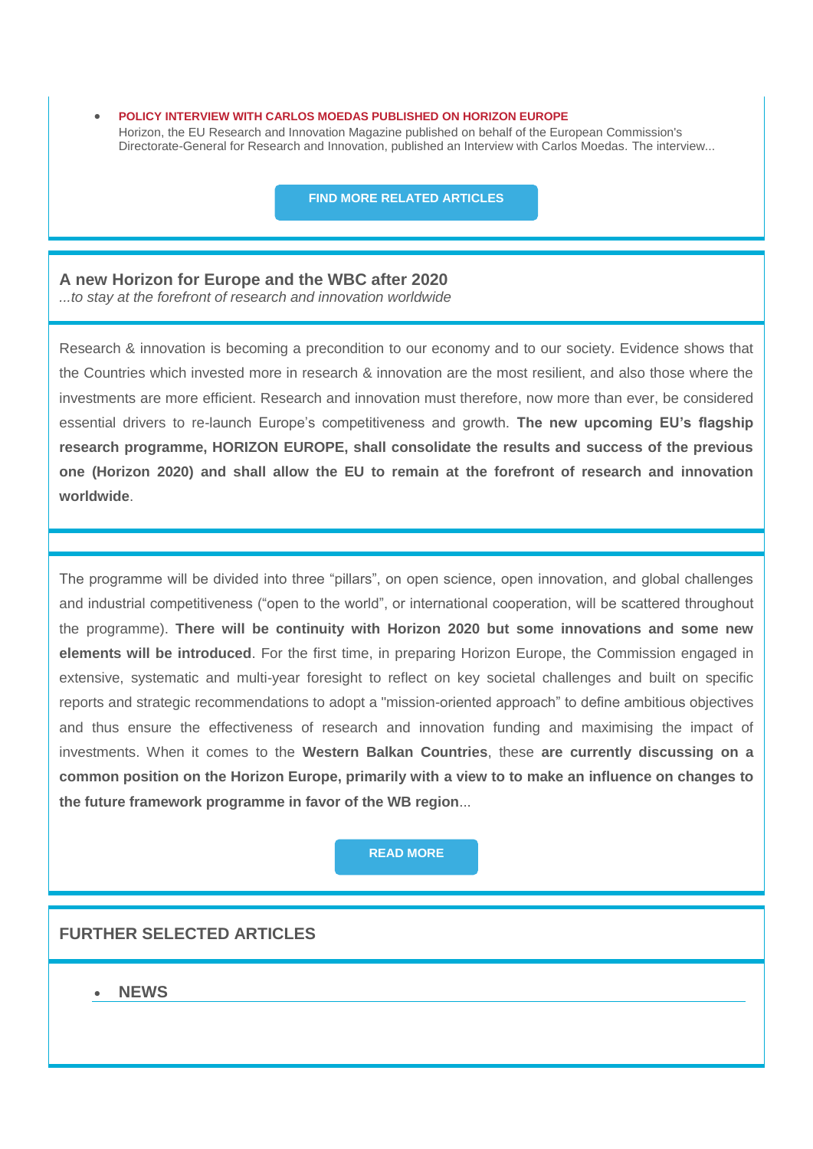**[POLICY INTERVIEW WITH CARLOS MOEDAS PUBLISHED ON HORIZON EUROPE](https://wbc-rti.info/object/link/17251)** Horizon, the EU Research and Innovation Magazine published on behalf of the European Commission's Directorate-General for Research and Innovation, published an Interview with Carlos Moedas. The interview...

**[FIND MORE RELATED ARTICLES](https://wbc-rti.info/theme/50)**

# **A new Horizon for Europe and the WBC after 2020**

*...to stay at the forefront of research and innovation worldwide*

Research & innovation is becoming a precondition to our economy and to our society. Evidence shows that the Countries which invested more in research & innovation are the most resilient, and also those where the investments are more efficient. Research and innovation must therefore, now more than ever, be considered essential drivers to re-launch Europe's competitiveness and growth. **The new upcoming EU's flagship research programme, HORIZON EUROPE, shall consolidate the results and success of the previous one (Horizon 2020) and shall allow the EU to remain at the forefront of research and innovation worldwide**.

The programme will be divided into three "pillars", on open science, open innovation, and global challenges and industrial competitiveness ("open to the world", or international cooperation, will be scattered throughout the programme). **There will be continuity with Horizon 2020 but some innovations and some new elements will be introduced**. For the first time, in preparing Horizon Europe, the Commission engaged in extensive, systematic and multi-year foresight to reflect on key societal challenges and built on specific reports and strategic recommendations to adopt a "mission-oriented approach" to define ambitious objectives and thus ensure the effectiveness of research and innovation funding and maximising the impact of investments. When it comes to the **Western Balkan Countries**, these **are currently discussing on a common position on the Horizon Europe, primarily with a view to to make an influence on changes to the future framework programme in favor of the WB region**...

# **[READ MORE](https://wbc-rti.info/in_focus)**

# **FURTHER SELECTED ARTICLES**

# **NEWS**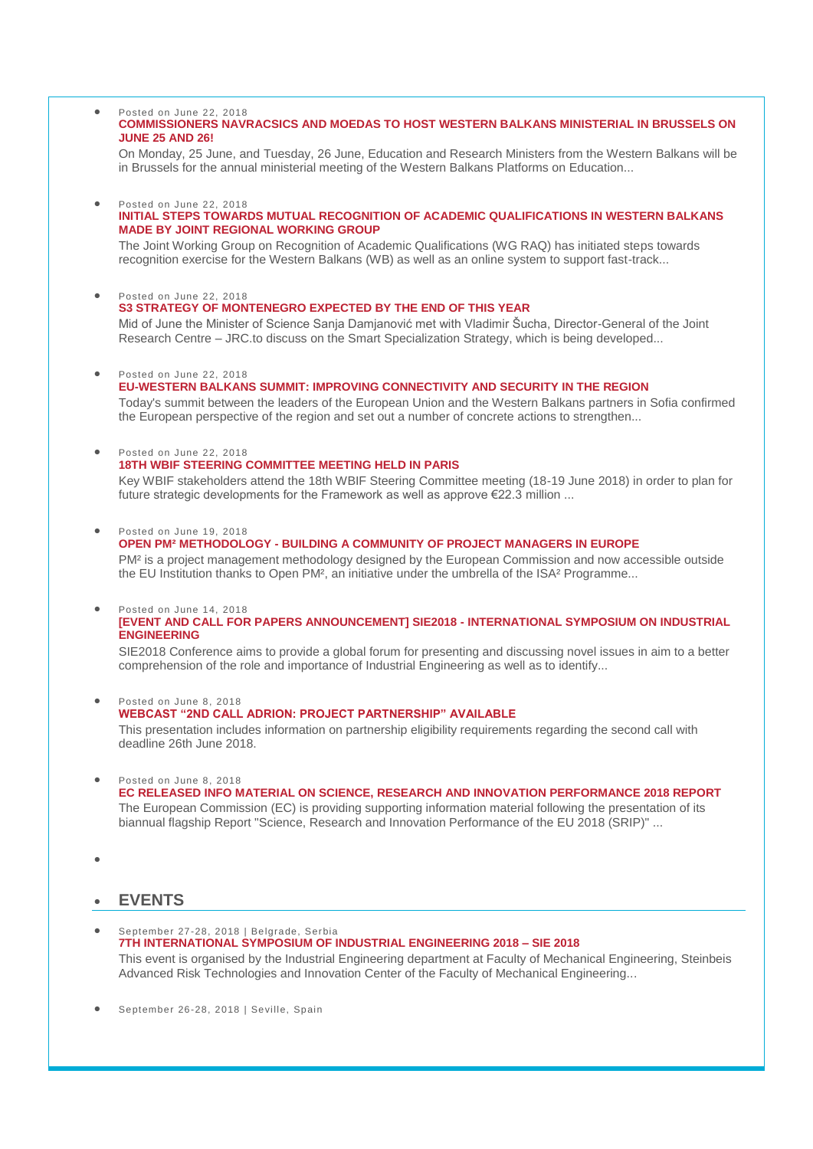#### Posted on June 22, 2018 **[COMMISSIONERS NAVRACSICS AND MOEDAS TO HOST WESTERN BALKANS MINISTERIAL IN BRUSSELS ON](https://wbc-rti.info/object/news/17281)  [JUNE 25 AND 26!](https://wbc-rti.info/object/news/17281)**

On Monday, 25 June, and Tuesday, 26 June, Education and Research Ministers from the Western Balkans will be in Brussels for the annual ministerial meeting of the Western Balkans Platforms on Education...

# Posted on June 22, 2018

## **[INITIAL STEPS TOWARDS MUTUAL RECOGNITION OF ACADEMIC QUALIFICATIONS IN WESTERN BALKANS](https://wbc-rti.info/object/news/17275)  [MADE BY JOINT REGIONAL WORKING GROUP](https://wbc-rti.info/object/news/17275)**

The Joint Working Group on Recognition of Academic Qualifications (WG RAQ) has initiated steps towards recognition exercise for the Western Balkans (WB) as well as an online system to support fast-track...

 Posted on June 22, 2018 **[S3 STRATEGY OF MONTENEGRO EXPECTED BY THE END OF THIS YEAR](https://wbc-rti.info/object/news/17273)**

Mid of June the Minister of Science Sanja Damjanović met with Vladimir Šucha, Director-General of the Joint Research Centre – JRC.to discuss on the Smart Specialization Strategy, which is being developed...

Posted on June 22, 2018

### **[EU-WESTERN BALKANS SUMMIT: IMPROVING CONNECTIVITY AND SECURITY IN THE REGION](https://wbc-rti.info/object/news/17268)**

Today's summit between the leaders of the European Union and the Western Balkans partners in Sofia confirmed the European perspective of the region and set out a number of concrete actions to strengthen...

Posted on June 22, 2018

## **[18TH WBIF STEERING COMMITTEE MEETING HELD IN PARIS](https://wbc-rti.info/object/news/17266)**

Key WBIF stakeholders attend the 18th WBIF Steering Committee meeting (18-19 June 2018) in order to plan for future strategic developments for the Framework as well as approve €22.3 million ...

Posted on June 19, 2018

### **OPEN PM² METHODOLOGY - [BUILDING A COMMUNITY OF PROJECT MANAGERS IN EUROPE](https://wbc-rti.info/object/news/17255)**

PM² is a project management methodology designed by the European Commission and now accessible outside the EU Institution thanks to Open PM<sup>2</sup>, an initiative under the umbrella of the ISA<sup>2</sup> Programme...

### Posted on June 14, 2018

# **[\[EVENT AND CALL FOR PAPERS ANNOUNCEMENT\] SIE2018 -](https://wbc-rti.info/object/news/17244) INTERNATIONAL SYMPOSIUM ON INDUSTRIAL [ENGINEERING](https://wbc-rti.info/object/news/17244)**

SIE2018 Conference aims to provide a global forum for presenting and discussing novel issues in aim to a better comprehension of the role and importance of Industrial Engineering as well as to identify...

Posted on June 8, 2018

# **[WEBCAST "2ND CALL ADRION: PROJECT PARTNERSHIP" AVAILABLE](https://wbc-rti.info/object/news/17216)**

This presentation includes information on partnership eligibility requirements regarding the second call with deadline 26th June 2018.

Posted on June 8, 2018

**[EC RELEASED INFO MATERIAL ON SCIENCE, RESEARCH AND INNOVATION PERFORMANCE 2018 REPORT](https://wbc-rti.info/object/news/17215)** The European Commission (EC) is providing supporting information material following the presentation of its biannual flagship Report "Science, Research and Innovation Performance of the EU 2018 (SRIP)" ...

 $\bullet$ 

# **EVENTS**

 September 27-28, 2018 | Belgrade, Serbia **[7TH INTERNATIONAL SYMPOSIUM OF INDUSTRIAL ENGINEERING 2018 –](https://wbc-rti.info/object/event/17026) SIE 2018** This event is organised by the Industrial Engineering department at Faculty of Mechanical Engineering, Steinbeis Advanced Risk Technologies and Innоvation Center of the Faculty of Mechanical Engineering...

September 26-28, 2018 | Seville, Spain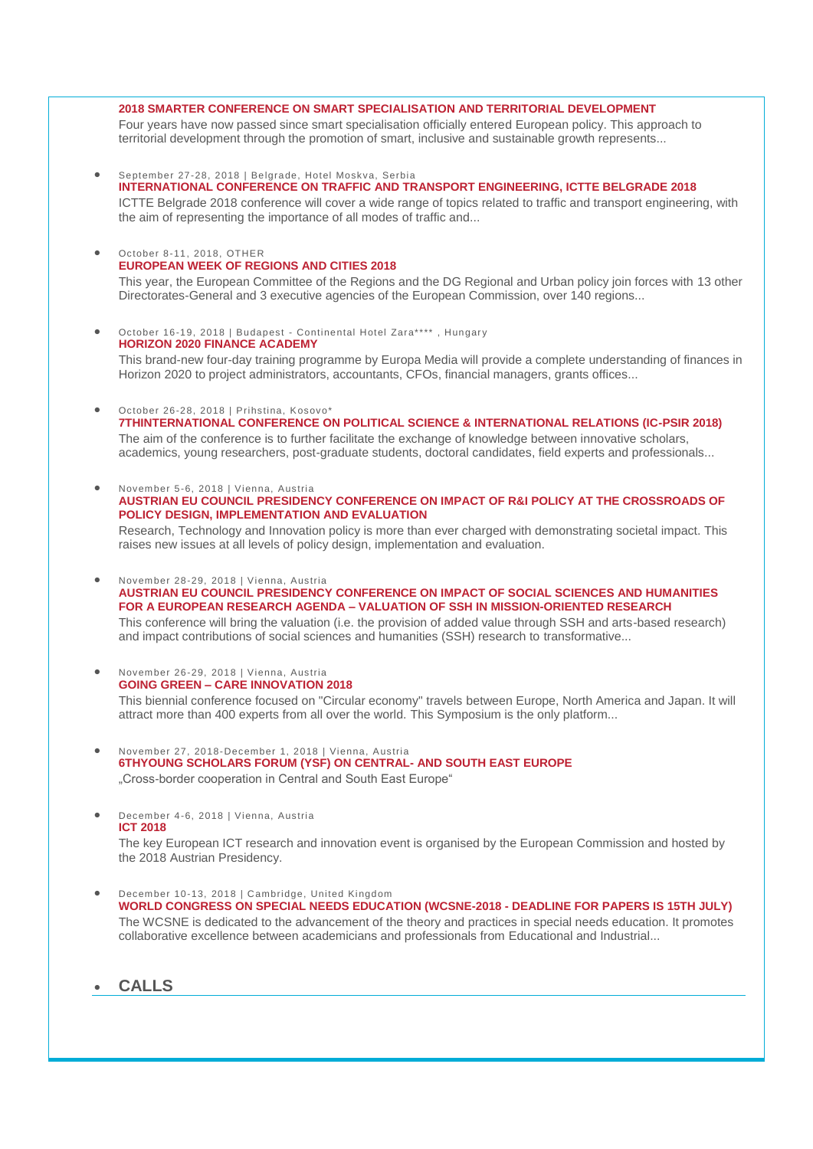#### **[2018 SMARTER CONFERENCE ON SMART SPECIALISATION AND TERRITORIAL DEVELOPMENT](https://wbc-rti.info/object/event/16982)**

Four years have now passed since smart specialisation officially entered European policy. This approach to territorial development through the promotion of smart, inclusive and sustainable growth represents...

- September 27-28, 2018 | Belgrade, Hotel Moskva, Serbia **[INTERNATIONAL CONFERENCE ON TRAFFIC AND TRANSPORT ENGINEERING, ICTTE BELGRADE 2018](https://wbc-rti.info/object/event/16668)** ICTTE Belgrade 2018 conference will cover a wide range of topics related to traffic and transport engineering, with the aim of representing the importance of all modes of traffic and...
- October 8-11, 2018, OTHER **[EUROPEAN WEEK OF REGIONS AND CITIES 2018](https://wbc-rti.info/object/event/17119)**

This year, the European Committee of the Regions and the DG Regional and Urban policy join forces with 13 other Directorates-General and 3 executive agencies of the European Commission, over 140 regions...

 October 16-19, 2018 | Budapest - Continental Hotel Zara\*\*\*\* , Hungary **[HORIZON 2020 FINANCE ACADEMY](https://wbc-rti.info/object/event/17147)**

This brand-new four-day training programme by Europa Media will provide a complete understanding of finances in Horizon 2020 to project administrators, accountants, CFOs, financial managers, grants offices...

October 26-28, 2018 | Prihstina, Kosovo\*

**[7THINTERNATIONAL CONFERENCE ON POLITICAL SCIENCE & INTERNATIONAL RELATIONS \(IC-PSIR 2018\)](https://wbc-rti.info/object/event/17152)** The aim of the conference is to further facilitate the exchange of knowledge between innovative scholars, academics, young researchers, post-graduate students, doctoral candidates, field experts and professionals...

 November 5-6, 2018 | Vienna, Austria **[AUSTRIAN EU COUNCIL PRESIDENCY CONFERENCE ON IMPACT OF R&I POLICY AT THE CROSSROADS OF](https://wbc-rti.info/object/event/16839)  [POLICY DESIGN, IMPLEMENTATION AND EVALUATION](https://wbc-rti.info/object/event/16839)**

Research, Technology and Innovation policy is more than ever charged with demonstrating societal impact. This raises new issues at all levels of policy design, implementation and evaluation.

November 28-29, 2018 | Vienna, Austria

**[AUSTRIAN EU COUNCIL PRESIDENCY CONFERENCE ON IMPACT OF SOCIAL SCIENCES AND HUMANITIES](https://wbc-rti.info/object/event/17079)  FOR A EUROPEAN RESEARCH AGENDA – [VALUATION OF SSH IN MISSION-ORIENTED RESEARCH](https://wbc-rti.info/object/event/17079)**

This conference will bring the valuation (i.e. the provision of added value through SSH and arts-based research) and impact contributions of social sciences and humanities (SSH) research to transformative...

 November 26-29, 2018 | Vienna, Austria **GOING GREEN – [CARE INNOVATION 2018](https://wbc-rti.info/object/event/17098)**

This biennial conference focused on "Circular economy" travels between Europe, North America and Japan. It will attract more than 400 experts from all over the world. This Symposium is the only platform...

- November 27, 2018-December 1, 2018 | Vienna, Austria **[6THYOUNG SCHOLARS FORUM \(YSF\) ON CENTRAL-](https://wbc-rti.info/object/event/17190) AND SOUTH EAST EUROPE** "Cross-border cooperation in Central and South East Europe"
- December 4-6, 2018 | Vienna, Austria **[ICT 2018](https://wbc-rti.info/object/event/16977)**

The key European ICT research and innovation event is organised by the European Commission and hosted by the 2018 Austrian Presidency.

 December 10-13, 2018 | Cambridge, United Kingdom **[WORLD CONGRESS ON SPECIAL NEEDS EDUCATION \(WCSNE-2018 -](https://wbc-rti.info/object/event/17021) DEADLINE FOR PAPERS IS 15TH JULY)** The WCSNE is dedicated to the advancement of the theory and practices in special needs education. It promotes collaborative excellence between academicians and professionals from Educational and Industrial...

# **CALLS**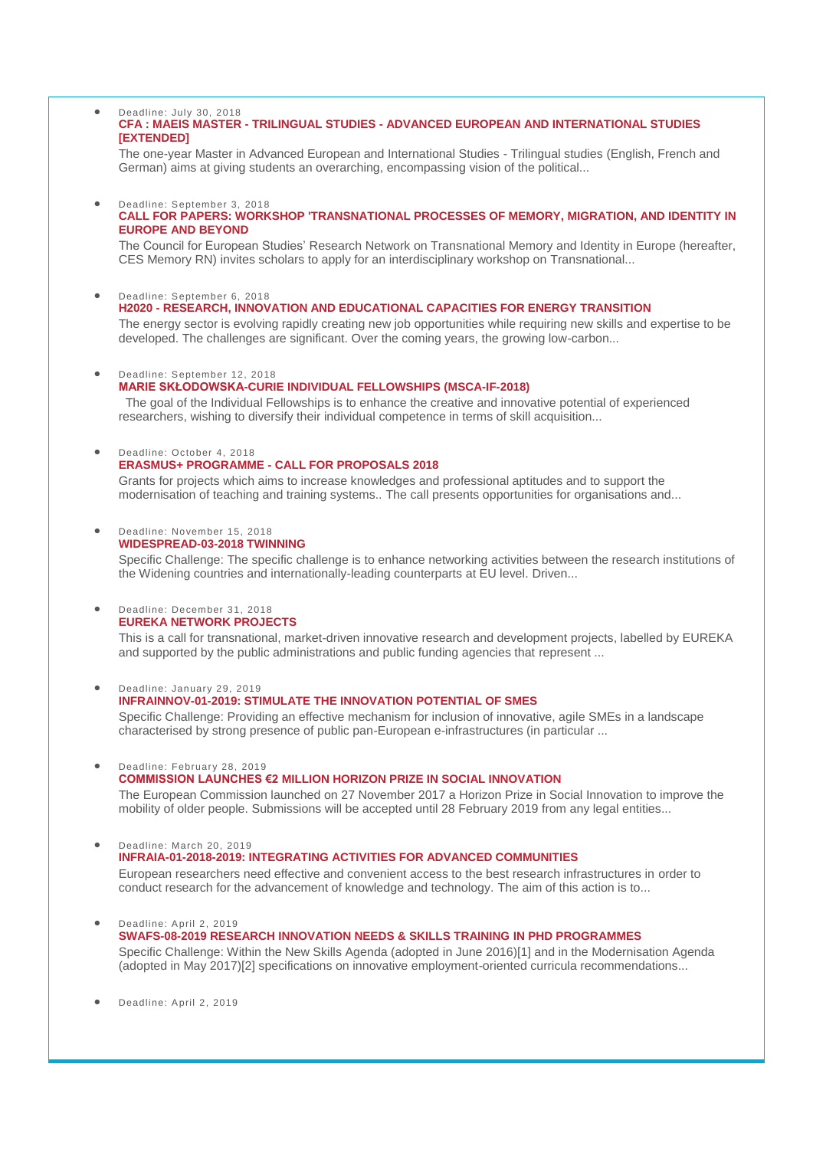#### Deadline: July 30, 2018 **CFA : MAEIS MASTER - TRILINGUAL STUDIES - [ADVANCED EUROPEAN AND INTERNATIONAL STUDIES](https://wbc-rti.info/object/call/17075)  [\[EXTENDED\]](https://wbc-rti.info/object/call/17075)**

The one-year Master in Advanced European and International Studies - Trilingual studies (English, French and German) aims at giving students an overarching, encompassing vision of the political...

#### Deadline: September 3, 2018 **[CALL FOR PAPERS: WORKSHOP 'TRANSNATIONAL PROCESSES OF MEMORY, MIGRATION, AND IDENTITY IN](https://wbc-rti.info/object/call/17235)  [EUROPE AND BEYOND](https://wbc-rti.info/object/call/17235)**

The Council for European Studies' Research Network on Transnational Memory and Identity in Europe (hereafter, CES Memory RN) invites scholars to apply for an interdisciplinary workshop on Transnational...

Deadline: September 6, 2018

# **H2020 - [RESEARCH, INNOVATION AND EDUCATIONAL CAPACITIES FOR ENERGY TRANSITION](https://wbc-rti.info/object/call/16992)**

The energy sector is evolving rapidly creating new job opportunities while requiring new skills and expertise to be developed. The challenges are significant. Over the coming years, the growing low-carbon...

#### Deadline: September 12, 2018

#### **[MARIE SKŁODOWSKA-CURIE INDIVIDUAL FELLOWSHIPS \(MSCA-IF-2018\)](https://wbc-rti.info/object/call/16971)**

The goal of the Individual Fellowships is to enhance the creative and innovative potential of experienced researchers, wishing to diversify their individual competence in terms of skill acquisition...

## Deadline: October 4, 2018 **ERASMUS+ PROGRAMME - [CALL FOR PROPOSALS 2018](https://wbc-rti.info/object/call/17225)**

Grants for projects which aims to increase knowledges and professional aptitudes and to support the modernisation of teaching and training systems.. The call presents opportunities for organisations and...

#### Deadline: November 15, 2018 **[WIDESPREAD-03-2018 TWINNING](https://wbc-rti.info/object/call/16616)**

Specific Challenge: The specific challenge is to enhance networking activities between the research institutions of the Widening countries and internationally-leading counterparts at EU level. Driven...

#### Deadline: December 31, 2018 **[EUREKA NETWORK PROJECTS](https://wbc-rti.info/object/call/16978)**

This is a call for transnational, market-driven innovative research and development projects, labelled by EUREKA and supported by the public administrations and public funding agencies that represent ...

### Deadline: January 29, 2019

### **[INFRAINNOV-01-2019: STIMULATE THE INNOVATION POTENTIAL OF SMES](https://wbc-rti.info/object/call/16932)**

Specific Challenge: Providing an effective mechanism for inclusion of innovative, agile SMEs in a landscape characterised by strong presence of public pan-European e-infrastructures (in particular ...

### Deadline: February 28, 2019

### **[COMMISSION LAUNCHES €2 MILLION HORIZON PRIZE IN SOCIAL INNOVATION](https://wbc-rti.info/object/call/16687)**

The European Commission launched on 27 November 2017 a Horizon Prize in Social Innovation to improve the mobility of older people. Submissions will be accepted until 28 February 2019 from any legal entities...

Deadline: March 20, 2019

# **[INFRAIA-01-2018-2019: INTEGRATING ACTIVITIES FOR ADVANCED COMMUNITIES](https://wbc-rti.info/object/call/16934)**

European researchers need effective and convenient access to the best research infrastructures in order to conduct research for the advancement of knowledge and technology. The aim of this action is to...

#### Deadline: April 2, 2019

### **[SWAFS-08-2019 RESEARCH INNOVATION NEEDS & SKILLS TRAINING](https://wbc-rti.info/object/call/16621) IN PHD PROGRAMMES**

Specific Challenge: Within the New Skills Agenda (adopted in June 2016)[1] and in the Modernisation Agenda (adopted in May 2017)[2] specifications on innovative employment-oriented curricula recommendations...

Deadline: April 2, 2019